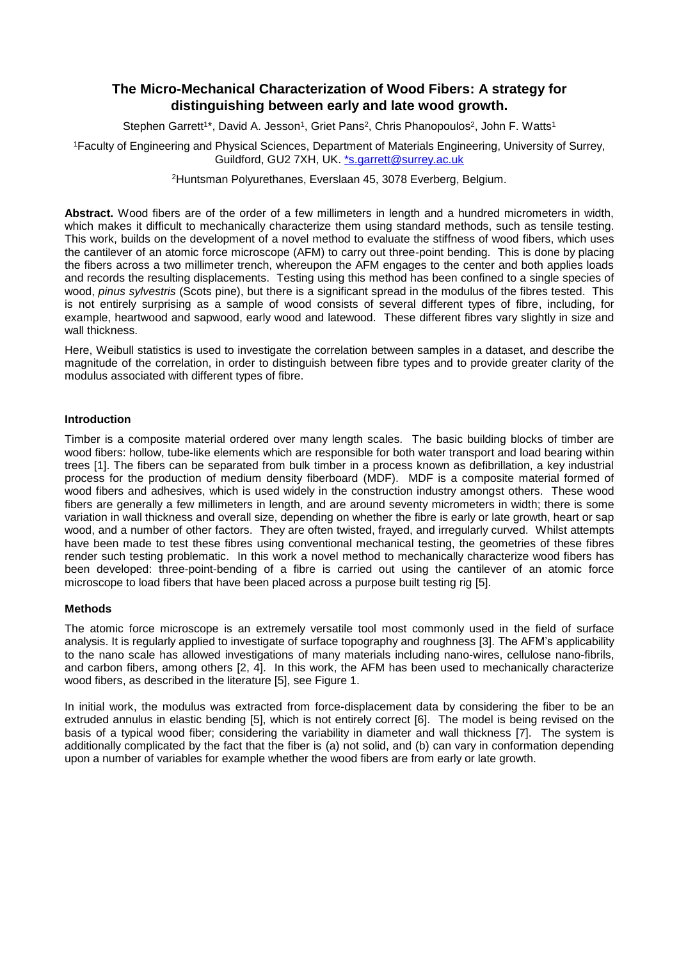# **The Micro-Mechanical Characterization of Wood Fibers: A strategy for distinguishing between early and late wood growth.**

Stephen Garrett<sup>1\*</sup>, David A. Jesson<sup>1</sup>, Griet Pans<sup>2</sup>, Chris Phanopoulos<sup>2</sup>, John F. Watts<sup>1</sup>

<sup>1</sup>Faculty of Engineering and Physical Sciences, Department of Materials Engineering, University of Surrey, Guildford, GU2 7XH, UK. [\\*s.garrett@surrey.ac.uk](mailto:*s.garrett@surrey.ac.uk)

<sup>2</sup>Huntsman Polyurethanes, Everslaan 45, 3078 Everberg, Belgium.

**Abstract.** Wood fibers are of the order of a few millimeters in length and a hundred micrometers in width, which makes it difficult to mechanically characterize them using standard methods, such as tensile testing. This work, builds on the development of a novel method to evaluate the stiffness of wood fibers, which uses the cantilever of an atomic force microscope (AFM) to carry out three-point bending. This is done by placing the fibers across a two millimeter trench, whereupon the AFM engages to the center and both applies loads and records the resulting displacements. Testing using this method has been confined to a single species of wood, *pinus sylvestris* (Scots pine), but there is a significant spread in the modulus of the fibres tested. This is not entirely surprising as a sample of wood consists of several different types of fibre, including, for example, heartwood and sapwood, early wood and latewood. These different fibres vary slightly in size and wall thickness.

Here, Weibull statistics is used to investigate the correlation between samples in a dataset, and describe the magnitude of the correlation, in order to distinguish between fibre types and to provide greater clarity of the modulus associated with different types of fibre.

# **Introduction**

Timber is a composite material ordered over many length scales. The basic building blocks of timber are wood fibers: hollow, tube-like elements which are responsible for both water transport and load bearing within trees [1]. The fibers can be separated from bulk timber in a process known as defibrillation, a key industrial process for the production of medium density fiberboard (MDF). MDF is a composite material formed of wood fibers and adhesives, which is used widely in the construction industry amongst others. These wood fibers are generally a few millimeters in length, and are around seventy micrometers in width; there is some variation in wall thickness and overall size, depending on whether the fibre is early or late growth, heart or sap wood, and a number of other factors. They are often twisted, frayed, and irregularly curved. Whilst attempts have been made to test these fibres using conventional mechanical testing, the geometries of these fibres render such testing problematic. In this work a novel method to mechanically characterize wood fibers has been developed: three-point-bending of a fibre is carried out using the cantilever of an atomic force microscope to load fibers that have been placed across a purpose built testing rig [5].

## **Methods**

The atomic force microscope is an extremely versatile tool most commonly used in the field of surface analysis. It is regularly applied to investigate of surface topography and roughness [3]. The AFM's applicability to the nano scale has allowed investigations of many materials including nano-wires, cellulose nano-fibrils, and carbon fibers, among others [2, 4]. In this work, the AFM has been used to mechanically characterize wood fibers, as described in the literature [5], see Figure 1.

In initial work, the modulus was extracted from force-displacement data by considering the fiber to be an extruded annulus in elastic bending [5], which is not entirely correct [6]. The model is being revised on the basis of a typical wood fiber; considering the variability in diameter and wall thickness [7]. The system is additionally complicated by the fact that the fiber is (a) not solid, and (b) can vary in conformation depending upon a number of variables for example whether the wood fibers are from early or late growth.